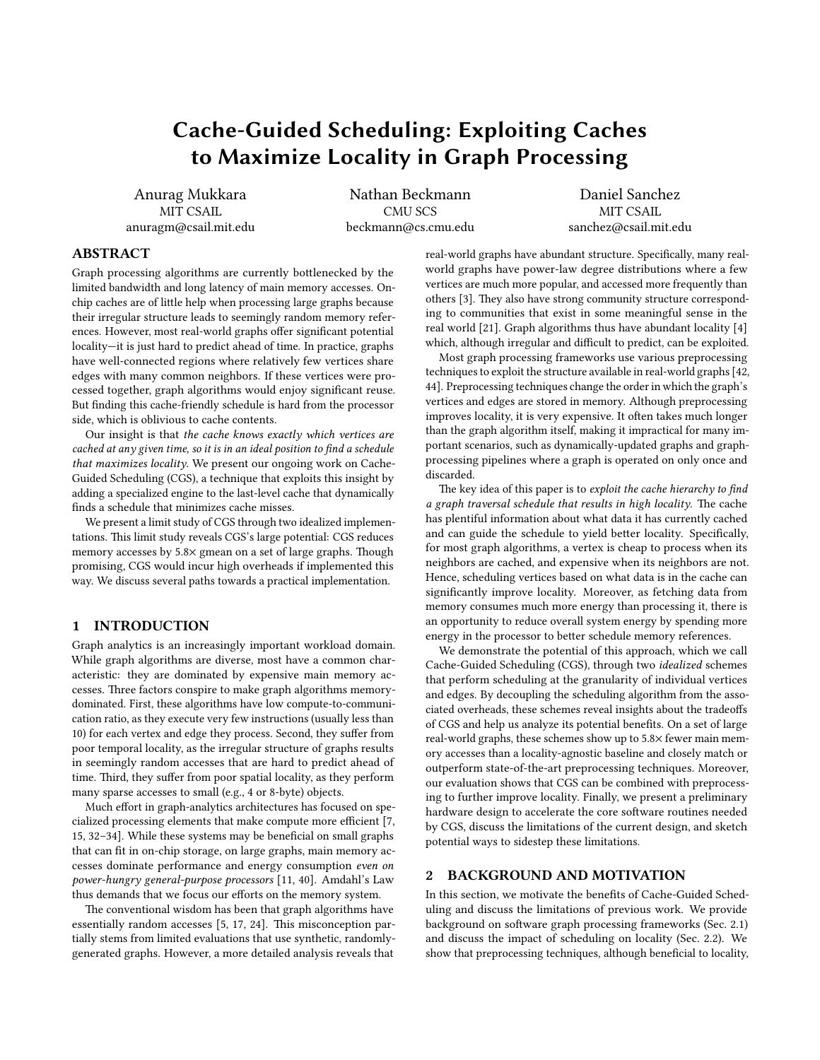# Cache-Guided Scheduling: Exploiting Caches to Maximize Locality in Graph Processing

Anurag Mukkara MIT CSAIL anuragm@csail.mit.edu

Nathan Beckmann CMU SCS beckmann@cs.cmu.edu

Daniel Sanchez MIT CSAIL sanchez@csail.mit.edu

## ABSTRACT

Graph processing algorithms are currently bottlenecked by the limited bandwidth and long latency of main memory accesses. Onchip caches are of little help when processing large graphs because their irregular structure leads to seemingly random memory references. However, most real-world graphs offer significant potential locality—it is just hard to predict ahead of time. In practice, graphs have well-connected regions where relatively few vertices share edges with many common neighbors. If these vertices were processed together, graph algorithms would enjoy signicant reuse. But finding this cache-friendly schedule is hard from the processor side, which is oblivious to cache contents.

Our insight is that the cache knows exactly which vertices are  $cached$  at any given time, so it is in an ideal position to find a schedule that maximizes locality. We present our ongoing work on Cache-Guided Scheduling (CGS), a technique that exploits this insight by adding a specialized engine to the last-level cache that dynamically finds a schedule that minimizes cache misses.

We present a limit study of CGS through two idealized implementations. This limit study reveals CGS's large potential: CGS reduces memory accesses by  $5.8\times$  gmean on a set of large graphs. Though promising, CGS would incur high overheads if implemented this way. We discuss several paths towards a practical implementation.

# 1 INTRODUCTION

Graph analytics is an increasingly important workload domain. While graph algorithms are diverse, most have a common characteristic: they are dominated by expensive main memory accesses. Three factors conspire to make graph algorithms memorydominated. First, these algorithms have low compute-to-communication ratio, as they execute very few instructions (usually less than 10) for each vertex and edge they process. Second, they suffer from poor temporal locality, as the irregular structure of graphs results in seemingly random accesses that are hard to predict ahead of time. Third, they suffer from poor spatial locality, as they perform many sparse accesses to small (e.g., 4 or 8-byte) objects.

Much effort in graph-analytics architectures has focused on spe-cialized processing elements that make compute more efficient [\[7,](#page-7-0) [15,](#page-7-1) [32](#page-7-2)[–34\]](#page-7-3). While these systems may be beneficial on small graphs that can fit in on-chip storage, on large graphs, main memory accesses dominate performance and energy consumption even on power-hungry general-purpose processors [\[11,](#page-7-4) [40\]](#page-7-5). Amdahl's Law thus demands that we focus our efforts on the memory system.

The conventional wisdom has been that graph algorithms have essentially random accesses  $[5, 17, 24]$  $[5, 17, 24]$  $[5, 17, 24]$  $[5, 17, 24]$ . This misconception partially stems from limited evaluations that use synthetic, randomlygenerated graphs. However, a more detailed analysis reveals that

real-world graphs have abundant structure. Specifically, many realworld graphs have power-law degree distributions where a few vertices are much more popular, and accessed more frequently than others [\[3\]](#page-7-9). They also have strong community structure corresponding to communities that exist in some meaningful sense in the real world [\[21\]](#page-7-10). Graph algorithms thus have abundant locality [\[4\]](#page-7-11) which, although irregular and difficult to predict, can be exploited.

Most graph processing frameworks use various preprocessing techniques to exploit the structure available in real-world graphs [\[42,](#page-7-12) [44\]](#page-7-13). Preprocessing techniques change the order in which the graph's vertices and edges are stored in memory. Although preprocessing improves locality, it is very expensive. It often takes much longer than the graph algorithm itself, making it impractical for many important scenarios, such as dynamically-updated graphs and graphprocessing pipelines where a graph is operated on only once and discarded.

The key idea of this paper is to exploit the cache hierarchy to find a graph traversal schedule that results in high locality. The cache has plentiful information about what data it has currently cached and can guide the schedule to yield better locality. Specifically, for most graph algorithms, a vertex is cheap to process when its neighbors are cached, and expensive when its neighbors are not. Hence, scheduling vertices based on what data is in the cache can significantly improve locality. Moreover, as fetching data from memory consumes much more energy than processing it, there is an opportunity to reduce overall system energy by spending more energy in the processor to better schedule memory references.

We demonstrate the potential of this approach, which we call Cache-Guided Scheduling (CGS), through two idealized schemes that perform scheduling at the granularity of individual vertices and edges. By decoupling the scheduling algorithm from the associated overheads, these schemes reveal insights about the tradeoffs of CGS and help us analyze its potential benefits. On a set of large real-world graphs, these schemes show up to 5.8× fewer main memory accesses than a locality-agnostic baseline and closely match or outperform state-of-the-art preprocessing techniques. Moreover, our evaluation shows that CGS can be combined with preprocessing to further improve locality. Finally, we present a preliminary hardware design to accelerate the core software routines needed by CGS, discuss the limitations of the current design, and sketch potential ways to sidestep these limitations.

## <span id="page-0-0"></span>2 BACKGROUND AND MOTIVATION

In this section, we motivate the benefits of Cache-Guided Scheduling and discuss the limitations of previous work. We provide background on software graph processing frameworks [\(Sec. 2.1\)](#page-1-0) and discuss the impact of scheduling on locality [\(Sec. 2.2\)](#page-1-1). We show that preprocessing techniques, although beneficial to locality,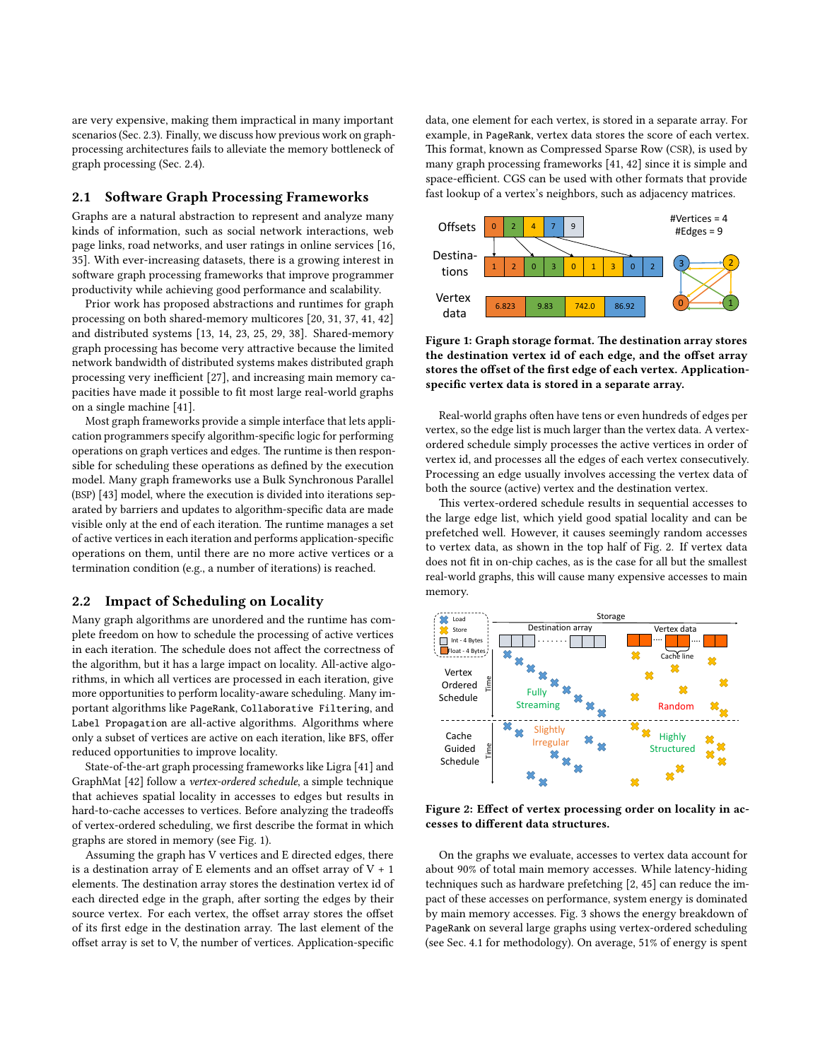are very expensive, making them impractical in many important scenarios [\(Sec. 2.3\)](#page-2-0). Finally, we discuss how previous work on graphprocessing architectures fails to alleviate the memory bottleneck of graph processing [\(Sec. 2.4\)](#page-2-1).

### <span id="page-1-0"></span>2.1 Software Graph Processing Frameworks

Graphs are a natural abstraction to represent and analyze many kinds of information, such as social network interactions, web page links, road networks, and user ratings in online services [\[16,](#page-7-14) [35\]](#page-7-15). With ever-increasing datasets, there is a growing interest in software graph processing frameworks that improve programmer productivity while achieving good performance and scalability.

Prior work has proposed abstractions and runtimes for graph processing on both shared-memory multicores [\[20,](#page-7-16) [31,](#page-7-17) [37,](#page-7-18) [41,](#page-7-19) [42\]](#page-7-12) and distributed systems [\[13,](#page-7-20) [14,](#page-7-21) [23,](#page-7-22) [25,](#page-7-23) [29,](#page-7-24) [38\]](#page-7-25). Shared-memory graph processing has become very attractive because the limited network bandwidth of distributed systems makes distributed graph processing very inefficient [\[27\]](#page-7-26), and increasing main memory capacities have made it possible to fit most large real-world graphs on a single machine [\[41\]](#page-7-19).

Most graph frameworks provide a simple interface that lets application programmers specify algorithm-specific logic for performing operations on graph vertices and edges. The runtime is then responsible for scheduling these operations as defined by the execution model. Many graph frameworks use a Bulk Synchronous Parallel (BSP) [\[43\]](#page-7-27) model, where the execution is divided into iterations separated by barriers and updates to algorithm-specific data are made visible only at the end of each iteration. The runtime manages a set of active vertices in each iteration and performs application-specific operations on them, until there are no more active vertices or a termination condition (e.g., a number of iterations) is reached.

### <span id="page-1-1"></span>2.2 Impact of Scheduling on Locality

Many graph algorithms are unordered and the runtime has complete freedom on how to schedule the processing of active vertices in each iteration. The schedule does not affect the correctness of the algorithm, but it has a large impact on locality. All-active algorithms, in which all vertices are processed in each iteration, give more opportunities to perform locality-aware scheduling. Many important algorithms like PageRank, Collaborative Filtering, and Label Propagation are all-active algorithms. Algorithms where only a subset of vertices are active on each iteration, like BFS, offer reduced opportunities to improve locality.

State-of-the-art graph processing frameworks like Ligra [\[41\]](#page-7-19) and GraphMat [\[42\]](#page-7-12) follow a vertex-ordered schedule, a simple technique that achieves spatial locality in accesses to edges but results in hard-to-cache accesses to vertices. Before analyzing the tradeoffs of vertex-ordered scheduling, we first describe the format in which graphs are stored in memory (see [Fig. 1\)](#page-1-2).

Assuming the graph has V vertices and E directed edges, there is a destination array of E elements and an offset array of  $V + 1$ elements. The destination array stores the destination vertex id of each directed edge in the graph, after sorting the edges by their source vertex. For each vertex, the offset array stores the offset of its first edge in the destination array. The last element of the offset array is set to V, the number of vertices. Application-specific

data, one element for each vertex, is stored in a separate array. For example, in PageRank, vertex data stores the score of each vertex. This format, known as Compressed Sparse Row (CSR), is used by many graph processing frameworks [\[41,](#page-7-19) [42\]](#page-7-12) since it is simple and space-efficient. CGS can be used with other formats that provide fast lookup of a vertex's neighbors, such as adjacency matrices.

<span id="page-1-2"></span>

Figure 1: Graph storage format. The destination array stores the destination vertex id of each edge, and the offset array stores the offset of the first edge of each vertex. Applicationspecific vertex data is stored in a separate array.

Real-world graphs often have tens or even hundreds of edges per vertex, so the edge list is much larger than the vertex data. A vertexordered schedule simply processes the active vertices in order of vertex id, and processes all the edges of each vertex consecutively. Processing an edge usually involves accessing the vertex data of both the source (active) vertex and the destination vertex.

This vertex-ordered schedule results in sequential accesses to the large edge list, which yield good spatial locality and can be prefetched well. However, it causes seemingly random accesses to vertex data, as shown in the top half of [Fig. 2.](#page-1-3) If vertex data does not fit in on-chip caches, as is the case for all but the smallest real-world graphs, this will cause many expensive accesses to main memory.

<span id="page-1-3"></span>

Figure 2: Effect of vertex processing order on locality in accesses to different data structures.

On the graphs we evaluate, accesses to vertex data account for about 90% of total main memory accesses. While latency-hiding techniques such as hardware prefetching [\[2,](#page-7-28) [45\]](#page-7-29) can reduce the impact of these accesses on performance, system energy is dominated by main memory accesses. [Fig. 3](#page-2-2) shows the energy breakdown of PageRank on several large graphs using vertex-ordered scheduling (see [Sec. 4.1](#page-4-0) for methodology). On average, 51% of energy is spent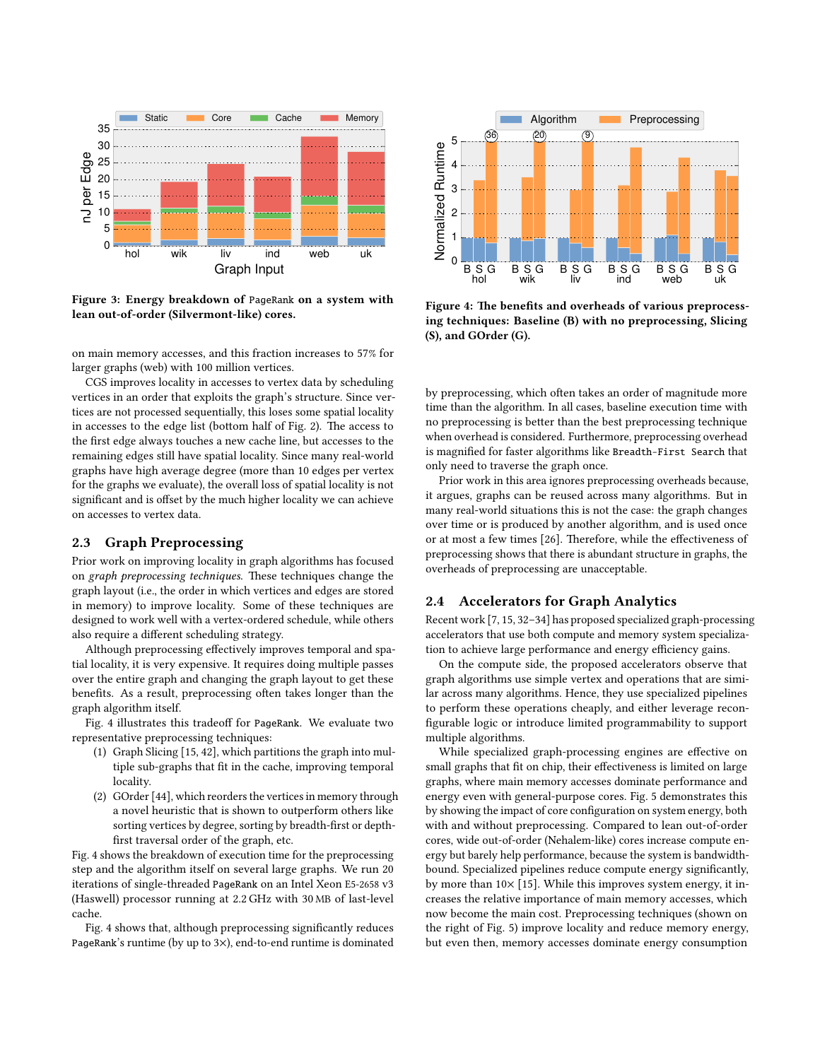<span id="page-2-2"></span>

Figure 3: Energy breakdown of PageRank on a system with lean out-of-order (Silvermont-like) cores.

on main memory accesses, and this fraction increases to 57% for larger graphs (web) with 100 million vertices.

CGS improves locality in accesses to vertex data by scheduling vertices in an order that exploits the graph's structure. Since vertices are not processed sequentially, this loses some spatial locality in accesses to the edge list (bottom half of [Fig. 2\)](#page-1-3). The access to the first edge always touches a new cache line, but accesses to the remaining edges still have spatial locality. Since many real-world graphs have high average degree (more than 10 edges per vertex for the graphs we evaluate), the overall loss of spatial locality is not significant and is offset by the much higher locality we can achieve on accesses to vertex data.

## <span id="page-2-0"></span>2.3 Graph Preprocessing

Prior work on improving locality in graph algorithms has focused on graph preprocessing techniques. These techniques change the graph layout (i.e., the order in which vertices and edges are stored in memory) to improve locality. Some of these techniques are designed to work well with a vertex-ordered schedule, while others also require a different scheduling strategy.

Although preprocessing effectively improves temporal and spatial locality, it is very expensive. It requires doing multiple passes over the entire graph and changing the graph layout to get these benefits. As a result, preprocessing often takes longer than the graph algorithm itself.

[Fig. 4](#page-2-3) illustrates this tradeoff for PageRank. We evaluate two representative preprocessing techniques:

- (1) Graph Slicing [\[15,](#page-7-1) [42\]](#page-7-12), which partitions the graph into multiple sub-graphs that fit in the cache, improving temporal locality.
- (2) GOrder [\[44\]](#page-7-13), which reorders the vertices in memory through a novel heuristic that is shown to outperform others like sorting vertices by degree, sorting by breadth-first or depthfirst traversal order of the graph, etc.

[Fig. 4](#page-2-3) shows the breakdown of execution time for the preprocessing step and the algorithm itself on several large graphs. We run 20 iterations of single-threaded PageRank on an Intel Xeon E5-2658 v3 (Haswell) processor running at 2.2 GHz with 30 MB of last-level cache.

[Fig. 4](#page-2-3) shows that, although preprocessing significantly reduces PageRank's runtime (by up to 3×), end-to-end runtime is dominated

<span id="page-2-3"></span>

Figure 4: The benefits and overheads of various preprocessing techniques: Baseline (B) with no preprocessing, Slicing (S), and GOrder (G).

by preprocessing, which often takes an order of magnitude more time than the algorithm. In all cases, baseline execution time with no preprocessing is better than the best preprocessing technique when overhead is considered. Furthermore, preprocessing overhead is magnified for faster algorithms like Breadth-First Search that only need to traverse the graph once.

Prior work in this area ignores preprocessing overheads because, it argues, graphs can be reused across many algorithms. But in many real-world situations this is not the case: the graph changes over time or is produced by another algorithm, and is used once or at most a few times [\[26\]](#page-7-30). Therefore, while the effectiveness of preprocessing shows that there is abundant structure in graphs, the overheads of preprocessing are unacceptable.

# <span id="page-2-1"></span>2.4 Accelerators for Graph Analytics

Recent work [\[7,](#page-7-0) [15,](#page-7-1) [32–](#page-7-2)[34\]](#page-7-3) has proposed specialized graph-processing accelerators that use both compute and memory system specialization to achieve large performance and energy efficiency gains.

On the compute side, the proposed accelerators observe that graph algorithms use simple vertex and operations that are similar across many algorithms. Hence, they use specialized pipelines to perform these operations cheaply, and either leverage recon figurable logic or introduce limited programmability to support multiple algorithms.

While specialized graph-processing engines are effective on small graphs that fit on chip, their effectiveness is limited on large graphs, where main memory accesses dominate performance and energy even with general-purpose cores. [Fig. 5](#page-3-0) demonstrates this by showing the impact of core configuration on system energy, both with and without preprocessing. Compared to lean out-of-order cores, wide out-of-order (Nehalem-like) cores increase compute energy but barely help performance, because the system is bandwidthbound. Specialized pipelines reduce compute energy significantly, by more than 10× [\[15\]](#page-7-1). While this improves system energy, it increases the relative importance of main memory accesses, which now become the main cost. Preprocessing techniques (shown on the right of [Fig. 5\)](#page-3-0) improve locality and reduce memory energy, but even then, memory accesses dominate energy consumption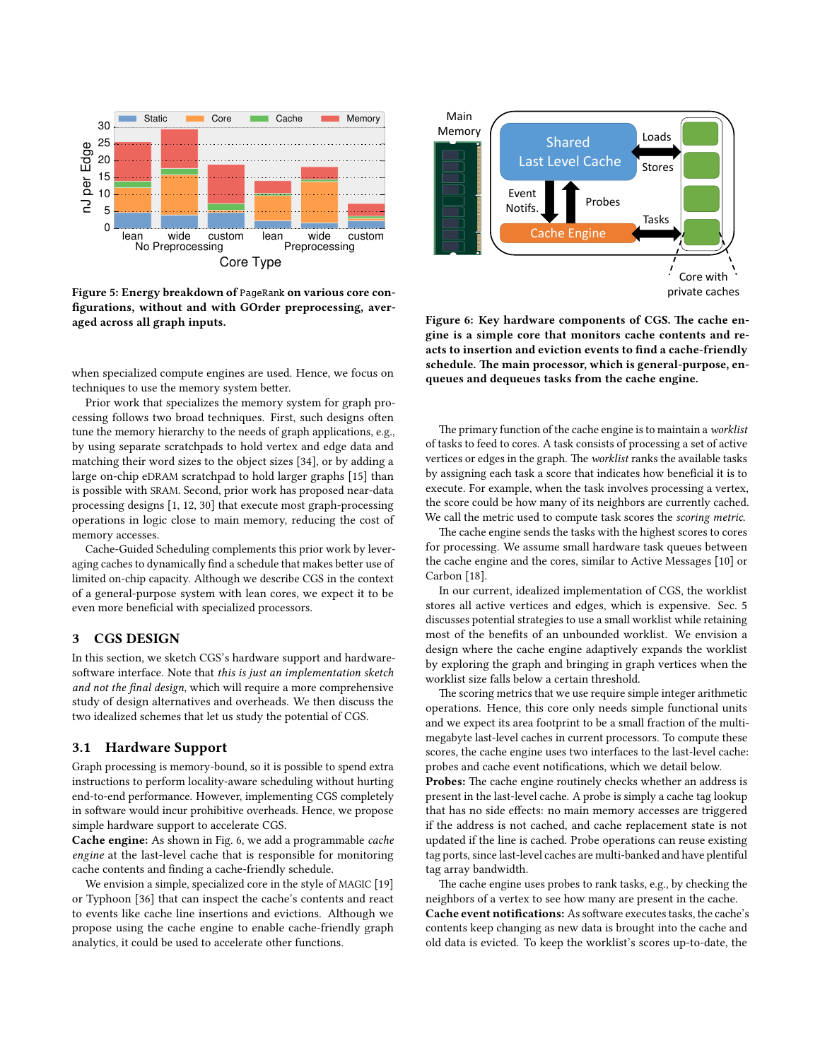<span id="page-3-0"></span>

Figure 5: Energy breakdown of PageRank on various core con figurations, without and with GOrder preprocessing, averaged across all graph inputs.

when specialized compute engines are used. Hence, we focus on techniques to use the memory system better.

Prior work that specializes the memory system for graph processing follows two broad techniques. First, such designs often tune the memory hierarchy to the needs of graph applications, e.g., by using separate scratchpads to hold vertex and edge data and matching their word sizes to the object sizes [\[34\]](#page-7-3), or by adding a large on-chip eDRAM scratchpad to hold larger graphs [\[15\]](#page-7-1) than is possible with SRAM. Second, prior work has proposed near-data processing designs [\[1,](#page-7-31) [12,](#page-7-32) [30\]](#page-7-33) that execute most graph-processing operations in logic close to main memory, reducing the cost of memory accesses.

Cache-Guided Scheduling complements this prior work by leveraging caches to dynamically find a schedule that makes better use of limited on-chip capacity. Although we describe CGS in the context of a general-purpose system with lean cores, we expect it to be even more beneficial with specialized processors.

## 3 CGS DESIGN

In this section, we sketch CGS's hardware support and hardwaresoftware interface. Note that this is just an implementation sketch and not the final design, which will require a more comprehensive study of design alternatives and overheads. We then discuss the two idealized schemes that let us study the potential of CGS.

#### 3.1 Hardware Support

Graph processing is memory-bound, so it is possible to spend extra instructions to perform locality-aware scheduling without hurting end-to-end performance. However, implementing CGS completely in software would incur prohibitive overheads. Hence, we propose simple hardware support to accelerate CGS.

Cache engine: As shown in [Fig. 6,](#page-3-1) we add a programmable cache engine at the last-level cache that is responsible for monitoring cache contents and finding a cache-friendly schedule.

We envision a simple, specialized core in the style of MAGIC [\[19\]](#page-7-34) or Typhoon [\[36\]](#page-7-35) that can inspect the cache's contents and react to events like cache line insertions and evictions. Although we propose using the cache engine to enable cache-friendly graph analytics, it could be used to accelerate other functions.

<span id="page-3-1"></span>

Figure 6: Key hardware components of CGS. The cache engine is a simple core that monitors cache contents and reacts to insertion and eviction events to find a cache-friendly schedule. The main processor, which is general-purpose, enqueues and dequeues tasks from the cache engine.

The primary function of the cache engine is to maintain a *worklist* of tasks to feed to cores. A task consists of processing a set of active vertices or edges in the graph. The worklist ranks the available tasks by assigning each task a score that indicates how beneficial it is to execute. For example, when the task involves processing a vertex, the score could be how many of its neighbors are currently cached. We call the metric used to compute task scores the scoring metric.

The cache engine sends the tasks with the highest scores to cores for processing. We assume small hardware task queues between the cache engine and the cores, similar to Active Messages [\[10\]](#page-7-36) or Carbon [\[18\]](#page-7-37).

In our current, idealized implementation of CGS, the worklist stores all active vertices and edges, which is expensive. [Sec. 5](#page-6-0) discusses potential strategies to use a small worklist while retaining most of the benefits of an unbounded worklist. We envision a design where the cache engine adaptively expands the worklist by exploring the graph and bringing in graph vertices when the worklist size falls below a certain threshold.

The scoring metrics that we use require simple integer arithmetic operations. Hence, this core only needs simple functional units and we expect its area footprint to be a small fraction of the multimegabyte last-level caches in current processors. To compute these scores, the cache engine uses two interfaces to the last-level cache: probes and cache event notifications, which we detail below.

Probes: The cache engine routinely checks whether an address is present in the last-level cache. A probe is simply a cache tag lookup that has no side effects: no main memory accesses are triggered if the address is not cached, and cache replacement state is not updated if the line is cached. Probe operations can reuse existing tag ports, since last-level caches are multi-banked and have plentiful tag array bandwidth.

The cache engine uses probes to rank tasks, e.g., by checking the neighbors of a vertex to see how many are present in the cache. Cache event notifications: As software executes tasks, the cache's contents keep changing as new data is brought into the cache and old data is evicted. To keep the worklist's scores up-to-date, the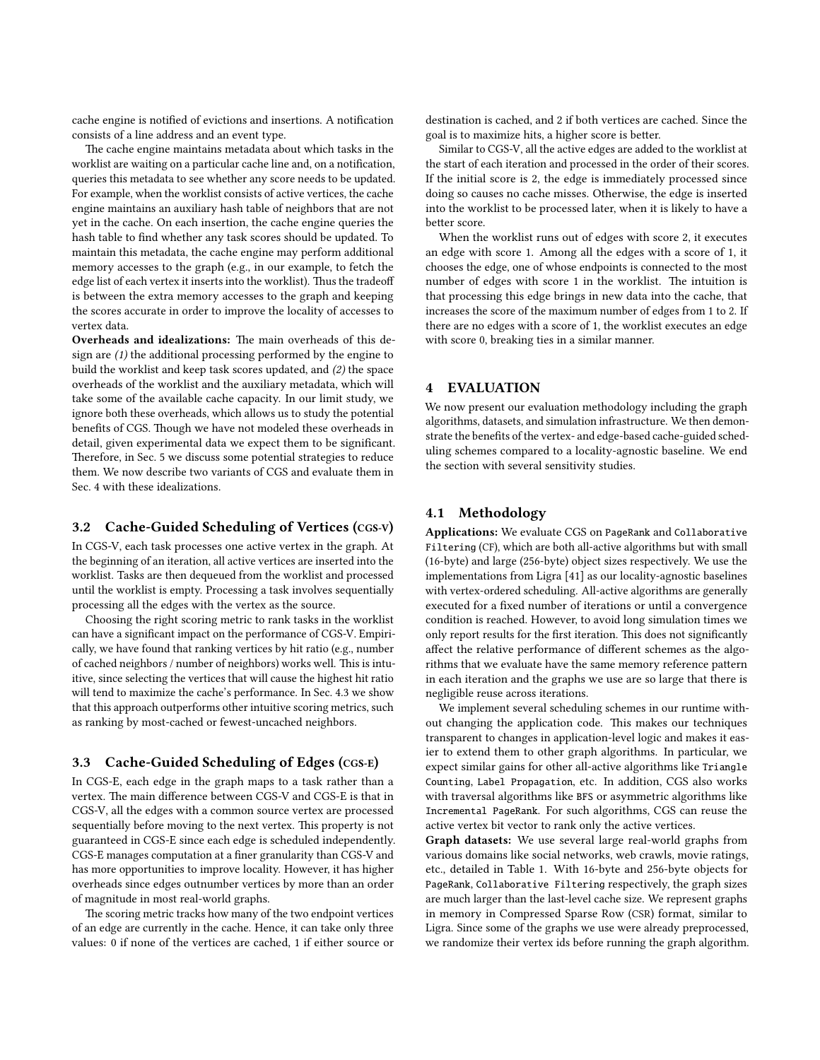cache engine is notified of evictions and insertions. A notification consists of a line address and an event type.

The cache engine maintains metadata about which tasks in the worklist are waiting on a particular cache line and, on a notification, queries this metadata to see whether any score needs to be updated. For example, when the worklist consists of active vertices, the cache engine maintains an auxiliary hash table of neighbors that are not yet in the cache. On each insertion, the cache engine queries the hash table to find whether any task scores should be updated. To maintain this metadata, the cache engine may perform additional memory accesses to the graph (e.g., in our example, to fetch the edge list of each vertex it inserts into the worklist). Thus the tradeoff is between the extra memory accesses to the graph and keeping the scores accurate in order to improve the locality of accesses to vertex data.

Overheads and idealizations: The main overheads of this design are (1) the additional processing performed by the engine to build the worklist and keep task scores updated, and (2) the space overheads of the worklist and the auxiliary metadata, which will take some of the available cache capacity. In our limit study, we ignore both these overheads, which allows us to study the potential benefits of CGS. Though we have not modeled these overheads in detail, given experimental data we expect them to be significant. Therefore, in [Sec. 5](#page-6-0) we discuss some potential strategies to reduce them. We now describe two variants of CGS and evaluate them in [Sec. 4](#page-4-1) with these idealizations.

## 3.2 Cache-Guided Scheduling of Vertices (CGS-V)

In CGS-V, each task processes one active vertex in the graph. At the beginning of an iteration, all active vertices are inserted into the worklist. Tasks are then dequeued from the worklist and processed until the worklist is empty. Processing a task involves sequentially processing all the edges with the vertex as the source.

Choosing the right scoring metric to rank tasks in the worklist can have a significant impact on the performance of CGS-V. Empirically, we have found that ranking vertices by hit ratio (e.g., number of cached neighbors / number of neighbors) works well. This is intuitive, since selecting the vertices that will cause the highest hit ratio will tend to maximize the cache's performance. In [Sec. 4.3](#page-5-0) we show that this approach outperforms other intuitive scoring metrics, such as ranking by most-cached or fewest-uncached neighbors.

#### 3.3 Cache-Guided Scheduling of Edges (CGS-E)

In CGS-E, each edge in the graph maps to a task rather than a vertex. The main difference between CGS-V and CGS-E is that in CGS-V, all the edges with a common source vertex are processed sequentially before moving to the next vertex. This property is not guaranteed in CGS-E since each edge is scheduled independently. CGS-E manages computation at a finer granularity than CGS-V and has more opportunities to improve locality. However, it has higher overheads since edges outnumber vertices by more than an order of magnitude in most real-world graphs.

The scoring metric tracks how many of the two endpoint vertices of an edge are currently in the cache. Hence, it can take only three values: 0 if none of the vertices are cached, 1 if either source or destination is cached, and 2 if both vertices are cached. Since the goal is to maximize hits, a higher score is better.

Similar to CGS-V, all the active edges are added to the worklist at the start of each iteration and processed in the order of their scores. If the initial score is 2, the edge is immediately processed since doing so causes no cache misses. Otherwise, the edge is inserted into the worklist to be processed later, when it is likely to have a better score.

When the worklist runs out of edges with score 2, it executes an edge with score 1. Among all the edges with a score of 1, it chooses the edge, one of whose endpoints is connected to the most number of edges with score 1 in the worklist. The intuition is that processing this edge brings in new data into the cache, that increases the score of the maximum number of edges from 1 to 2. If there are no edges with a score of 1, the worklist executes an edge with score 0, breaking ties in a similar manner.

### <span id="page-4-1"></span>4 EVALUATION

We now present our evaluation methodology including the graph algorithms, datasets, and simulation infrastructure. We then demonstrate the benefits of the vertex- and edge-based cache-guided scheduling schemes compared to a locality-agnostic baseline. We end the section with several sensitivity studies.

## <span id="page-4-0"></span>4.1 Methodology

Applications: We evaluate CGS on PageRank and Collaborative Filtering (CF), which are both all-active algorithms but with small (16-byte) and large (256-byte) object sizes respectively. We use the implementations from Ligra [\[41\]](#page-7-19) as our locality-agnostic baselines with vertex-ordered scheduling. All-active algorithms are generally executed for a fixed number of iterations or until a convergence condition is reached. However, to avoid long simulation times we only report results for the first iteration. This does not significantly affect the relative performance of different schemes as the algorithms that we evaluate have the same memory reference pattern in each iteration and the graphs we use are so large that there is negligible reuse across iterations.

We implement several scheduling schemes in our runtime without changing the application code. This makes our techniques transparent to changes in application-level logic and makes it easier to extend them to other graph algorithms. In particular, we expect similar gains for other all-active algorithms like Triangle Counting, Label Propagation, etc. In addition, CGS also works with traversal algorithms like BFS or asymmetric algorithms like Incremental PageRank. For such algorithms, CGS can reuse the active vertex bit vector to rank only the active vertices.

Graph datasets: We use several large real-world graphs from various domains like social networks, web crawls, movie ratings, etc., detailed in [Table 1.](#page-5-1) With 16-byte and 256-byte objects for PageRank, Collaborative Filtering respectively, the graph sizes are much larger than the last-level cache size. We represent graphs in memory in Compressed Sparse Row (CSR) format, similar to Ligra. Since some of the graphs we use were already preprocessed, we randomize their vertex ids before running the graph algorithm.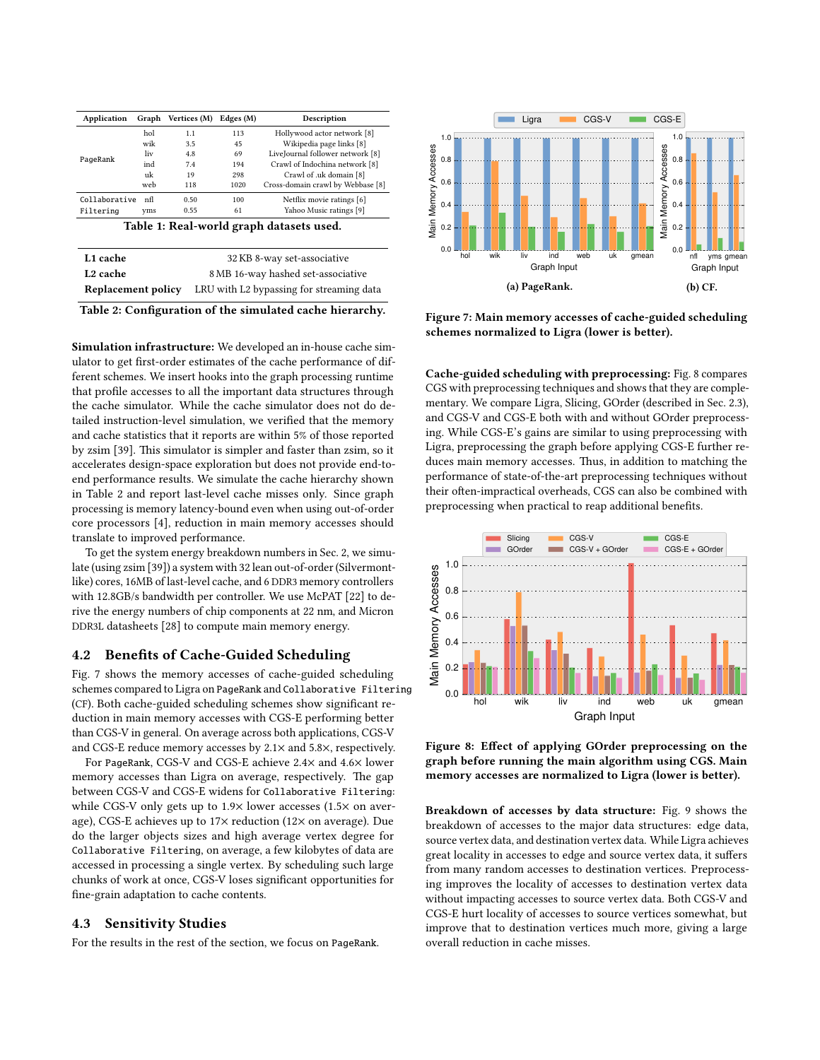<span id="page-5-1"></span>

| Application   |     | Graph Vertices (M) | Edges (M) | Description                       |
|---------------|-----|--------------------|-----------|-----------------------------------|
| PageRank      | hol | 1.1                | 113       | Hollywood actor network [8]       |
|               | wik | 3.5                | 45        | Wikipedia page links [8]          |
|               | liv | 4.8                | 69        | LiveJournal follower network [8]  |
|               | ind | 7.4                | 194       | Crawl of Indochina network [8]    |
|               | uk  | 19                 | 298       | Crawl of .uk domain [8]           |
|               | web | 118                | 1020      | Cross-domain crawl by Webbase [8] |
| Collaborative | nfl | 0.50               | 100       | Netflix movie ratings [6]         |
| Filtering     | vms | 0.55               | 61        | Yahoo Music ratings [9]           |

Table 1: Real-world graph datasets used.

<span id="page-5-2"></span>

| L1 cache           | 32 KB 8-way set-associative              |
|--------------------|------------------------------------------|
| <b>L2</b> cache    | 8 MB 16-way hashed set-associative       |
| Replacement policy | LRU with L2 bypassing for streaming data |

Table 2: Configuration of the simulated cache hierarchy.

Simulation infrastructure: We developed an in-house cache simulator to get first-order estimates of the cache performance of different schemes. We insert hooks into the graph processing runtime that profile accesses to all the important data structures through the cache simulator. While the cache simulator does not do detailed instruction-level simulation, we verified that the memory and cache statistics that it reports are within 5% of those reported by zsim [\[39\]](#page-7-41). This simulator is simpler and faster than zsim, so it accelerates design-space exploration but does not provide end-toend performance results. We simulate the cache hierarchy shown in [Table 2](#page-5-2) and report last-level cache misses only. Since graph processing is memory latency-bound even when using out-of-order core processors [\[4\]](#page-7-11), reduction in main memory accesses should translate to improved performance.

To get the system energy breakdown numbers in [Sec. 2,](#page-0-0) we simulate (using zsim [\[39\]](#page-7-41)) a system with 32 lean out-of-order (Silvermontlike) cores, 16MB of last-level cache, and 6 DDR3 memory controllers with 12.8GB/s bandwidth per controller. We use McPAT [\[22\]](#page-7-42) to derive the energy numbers of chip components at 22 nm, and Micron DDR3L datasheets [\[28\]](#page-7-43) to compute main memory energy.

#### 4.2 Benefits of Cache-Guided Scheduling

[Fig. 7](#page-5-3) shows the memory accesses of cache-guided scheduling schemes compared to Ligra on PageRank and Collaborative Filtering (CF). Both cache-guided scheduling schemes show signicant reduction in main memory accesses with CGS-E performing better than CGS-V in general. On average across both applications, CGS-V and CGS-E reduce memory accesses by 2.1× and 5.8×, respectively.

For PageRank, CGS-V and CGS-E achieve 2.4× and 4.6× lower memory accesses than Ligra on average, respectively. The gap between CGS-V and CGS-E widens for Collaborative Filtering: while CGS-V only gets up to 1.9× lower accesses (1.5× on average), CGS-E achieves up to 17× reduction (12× on average). Due do the larger objects sizes and high average vertex degree for Collaborative Filtering, on average, a few kilobytes of data are accessed in processing a single vertex. By scheduling such large chunks of work at once, CGS-V loses signicant opportunities for fine-grain adaptation to cache contents.

#### <span id="page-5-0"></span>4.3 Sensitivity Studies

For the results in the rest of the section, we focus on PageRank.

<span id="page-5-3"></span>

Figure 7: Main memory accesses of cache-guided scheduling schemes normalized to Ligra (lower is better).

Cache-guided scheduling with preprocessing: [Fig. 8](#page-5-4) compares CGS with preprocessing techniques and shows that they are complementary. We compare Ligra, Slicing, GOrder (described in [Sec. 2.3\)](#page-2-0), and CGS-V and CGS-E both with and without GOrder preprocessing. While CGS-E's gains are similar to using preprocessing with Ligra, preprocessing the graph before applying CGS-E further reduces main memory accesses. Thus, in addition to matching the performance of state-of-the-art preprocessing techniques without their often-impractical overheads, CGS can also be combined with preprocessing when practical to reap additional benefits.

<span id="page-5-4"></span>

Figure 8: Effect of applying GOrder preprocessing on the graph before running the main algorithm using CGS. Main memory accesses are normalized to Ligra (lower is better).

Breakdown of accesses by data structure: [Fig. 9](#page-6-1) shows the breakdown of accesses to the major data structures: edge data, source vertex data, and destination vertex data. While Ligra achieves great locality in accesses to edge and source vertex data, it suffers from many random accesses to destination vertices. Preprocessing improves the locality of accesses to destination vertex data without impacting accesses to source vertex data. Both CGS-V and CGS-E hurt locality of accesses to source vertices somewhat, but improve that to destination vertices much more, giving a large overall reduction in cache misses.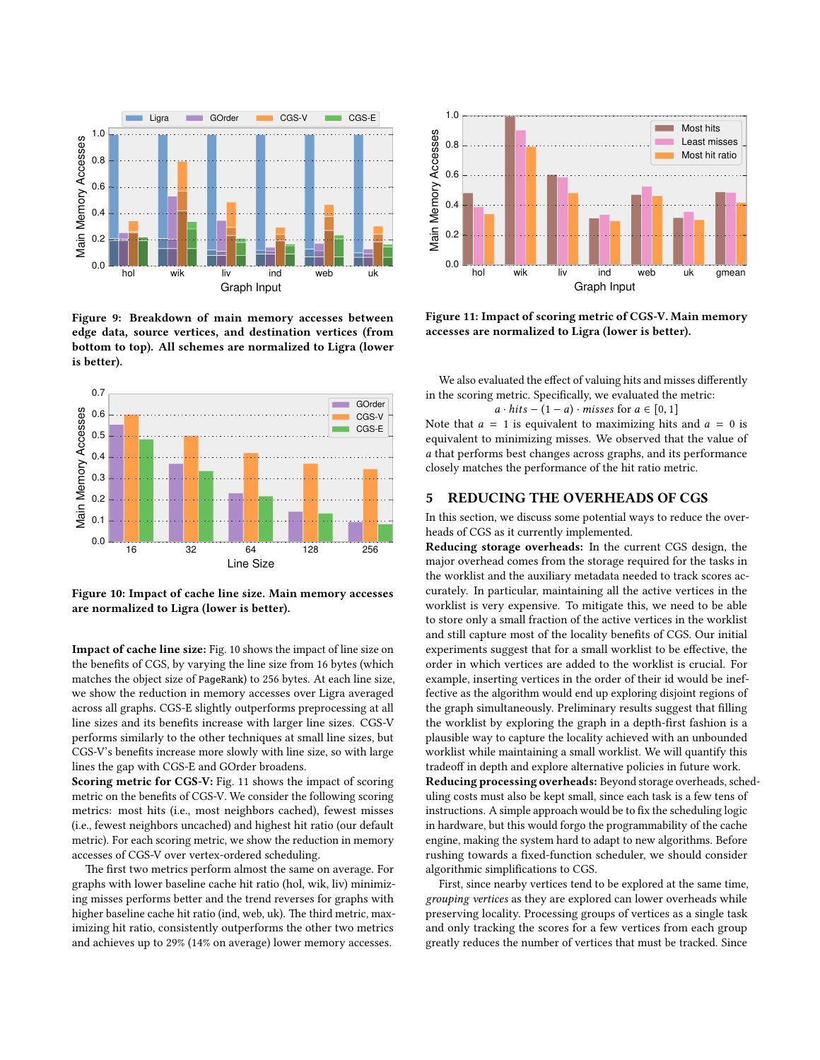<span id="page-6-1"></span>

Figure 9: Breakdown of main memory accesses between edge data, source vertices, and destination vertices (from bottom to top). All schemes are normalized to Ligra (lower is better).

<span id="page-6-2"></span>

Figure 10: Impact of cache line size. Main memory accesses are normalized to Ligra (lower is better).

Impact of cache line size: [Fig. 10](#page-6-2) shows the impact of line size on the benefits of CGS, by varying the line size from 16 bytes (which matches the object size of PageRank) to 256 bytes. At each line size, we show the reduction in memory accesses over Ligra averaged across all graphs. CGS-E slightly outperforms preprocessing at all line sizes and its benefits increase with larger line sizes. CGS-V performs similarly to the other techniques at small line sizes, but CGS-V's benefits increase more slowly with line size, so with large lines the gap with CGS-E and GOrder broadens.

Scoring metric for CGS-V: [Fig. 11](#page-6-3) shows the impact of scoring metric on the benefits of CGS-V. We consider the following scoring metrics: most hits (i.e., most neighbors cached), fewest misses (i.e., fewest neighbors uncached) and highest hit ratio (our default metric). For each scoring metric, we show the reduction in memory accesses of CGS-V over vertex-ordered scheduling.

The first two metrics perform almost the same on average. For graphs with lower baseline cache hit ratio (hol, wik, liv) minimizing misses performs better and the trend reverses for graphs with higher baseline cache hit ratio (ind, web, uk). The third metric, maximizing hit ratio, consistently outperforms the other two metrics and achieves up to 29% (14% on average) lower memory accesses.

<span id="page-6-3"></span>

Figure 11: Impact of scoring metric of CGS-V. Main memory accesses are normalized to Ligra (lower is better).

We also evaluated the effect of valuing hits and misses differently in the scoring metric. Specifically, we evaluated the metric:

 $a \cdot hits - (1 - a) \cdot misses$  for  $a \in [0, 1]$ 

Note that  $a = 1$  is equivalent to maximizing hits and  $a = 0$  is equivalent to minimizing misses. We observed that the value of a that performs best changes across graphs, and its performance closely matches the performance of the hit ratio metric.

#### <span id="page-6-0"></span>5 REDUCING THE OVERHEADS OF CGS

In this section, we discuss some potential ways to reduce the overheads of CGS as it currently implemented.

Reducing storage overheads: In the current CGS design, the major overhead comes from the storage required for the tasks in the worklist and the auxiliary metadata needed to track scores accurately. In particular, maintaining all the active vertices in the worklist is very expensive. To mitigate this, we need to be able to store only a small fraction of the active vertices in the worklist and still capture most of the locality benefits of CGS. Our initial experiments suggest that for a small worklist to be effective, the order in which vertices are added to the worklist is crucial. For example, inserting vertices in the order of their id would be ineffective as the algorithm would end up exploring disjoint regions of the graph simultaneously. Preliminary results suggest that filling the worklist by exploring the graph in a depth-first fashion is a plausible way to capture the locality achieved with an unbounded worklist while maintaining a small worklist. We will quantify this tradeoff in depth and explore alternative policies in future work. Reducing processing overheads: Beyond storage overheads, scheduling costs must also be kept small, since each task is a few tens of instructions. A simple approach would be to fix the scheduling logic in hardware, but this would forgo the programmability of the cache engine, making the system hard to adapt to new algorithms. Before rushing towards a fixed-function scheduler, we should consider algorithmic simplications to CGS.

First, since nearby vertices tend to be explored at the same time, grouping vertices as they are explored can lower overheads while preserving locality. Processing groups of vertices as a single task and only tracking the scores for a few vertices from each group greatly reduces the number of vertices that must be tracked. Since